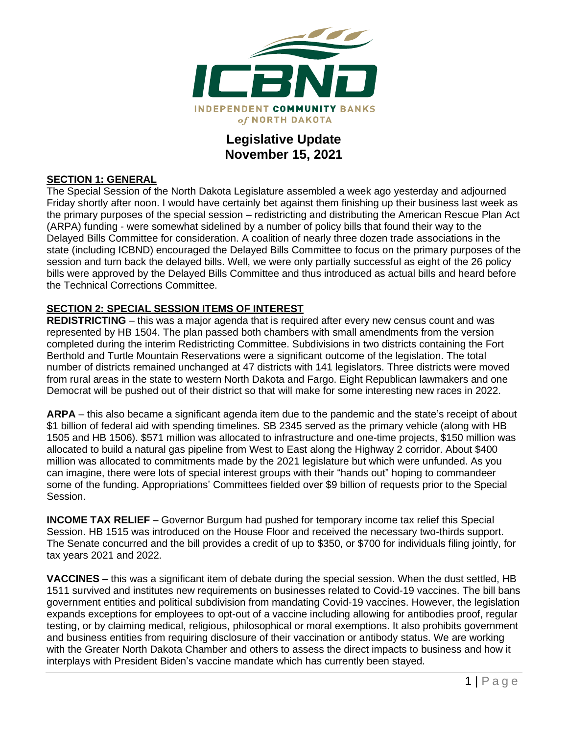

## **Legislative Update November 15, 2021**

## **SECTION 1: GENERAL**

The Special Session of the North Dakota Legislature assembled a week ago yesterday and adjourned Friday shortly after noon. I would have certainly bet against them finishing up their business last week as the primary purposes of the special session – redistricting and distributing the American Rescue Plan Act (ARPA) funding - were somewhat sidelined by a number of policy bills that found their way to the Delayed Bills Committee for consideration. A coalition of nearly three dozen trade associations in the state (including ICBND) encouraged the Delayed Bills Committee to focus on the primary purposes of the session and turn back the delayed bills. Well, we were only partially successful as eight of the 26 policy bills were approved by the Delayed Bills Committee and thus introduced as actual bills and heard before the Technical Corrections Committee.

## **SECTION 2: SPECIAL SESSION ITEMS OF INTEREST**

**REDISTRICTING** – this was a major agenda that is required after every new census count and was represented by HB 1504. The plan passed both chambers with small amendments from the version completed during the interim Redistricting Committee. Subdivisions in two districts containing the Fort Berthold and Turtle Mountain Reservations were a significant outcome of the legislation. The total number of districts remained unchanged at 47 districts with 141 legislators. Three districts were moved from rural areas in the state to western North Dakota and Fargo. Eight Republican lawmakers and one Democrat will be pushed out of their district so that will make for some interesting new races in 2022.

**ARPA** – this also became a significant agenda item due to the pandemic and the state's receipt of about \$1 billion of federal aid with spending timelines. SB 2345 served as the primary vehicle (along with HB 1505 and HB 1506). \$571 million was allocated to infrastructure and one-time projects, \$150 million was allocated to build a natural gas pipeline from West to East along the Highway 2 corridor. About \$400 million was allocated to commitments made by the 2021 legislature but which were unfunded. As you can imagine, there were lots of special interest groups with their "hands out" hoping to commandeer some of the funding. Appropriations' Committees fielded over \$9 billion of requests prior to the Special Session.

**INCOME TAX RELIEF** – Governor Burgum had pushed for temporary income tax relief this Special Session. HB 1515 was introduced on the House Floor and received the necessary two-thirds support. The Senate concurred and the bill provides a credit of up to \$350, or \$700 for individuals filing jointly, for tax years 2021 and 2022.

**VACCINES** – this was a significant item of debate during the special session. When the dust settled, HB 1511 survived and institutes new requirements on businesses related to Covid-19 vaccines. The bill bans government entities and political subdivision from mandating Covid-19 vaccines. However, the legislation expands exceptions for employees to opt-out of a vaccine including allowing for antibodies proof, regular testing, or by claiming medical, religious, philosophical or moral exemptions. It also prohibits government and business entities from requiring disclosure of their vaccination or antibody status. We are working with the Greater North Dakota Chamber and others to assess the direct impacts to business and how it interplays with President Biden's vaccine mandate which has currently been stayed.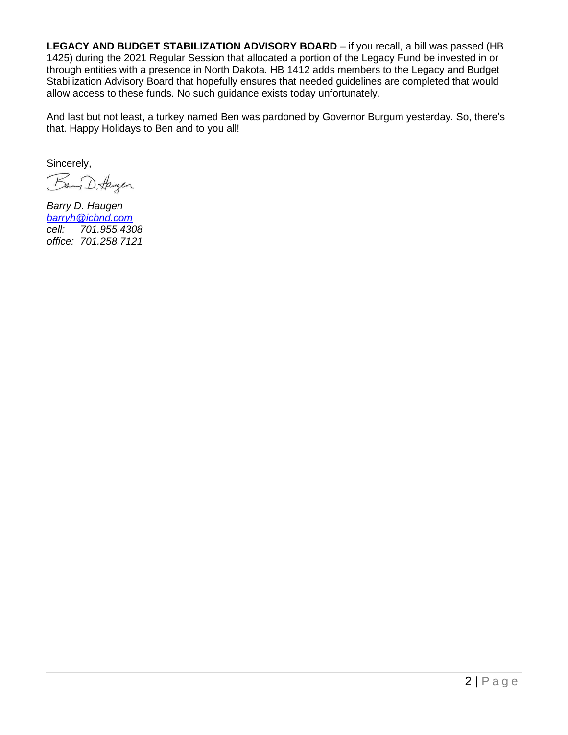LEGACY AND BUDGET STABILIZATION ADVISORY BOARD – if you recall, a bill was passed (HB 1425) during the 2021 Regular Session that allocated a portion of the Legacy Fund be invested in or through entities with a presence in North Dakota. HB 1412 adds members to the Legacy and Budget Stabilization Advisory Board that hopefully ensures that needed guidelines are completed that would allow access to these funds. No such guidance exists today unfortunately.

And last but not least, a turkey named Ben was pardoned by Governor Burgum yesterday. So, there's that. Happy Holidays to Ben and to you all!

Sincerely,

Bany D. Haugen

*Barry D. Haugen [barryh@icbnd.com](mailto:barryh@icbnd.com) cell: 701.955.4308 office: 701.258.7121*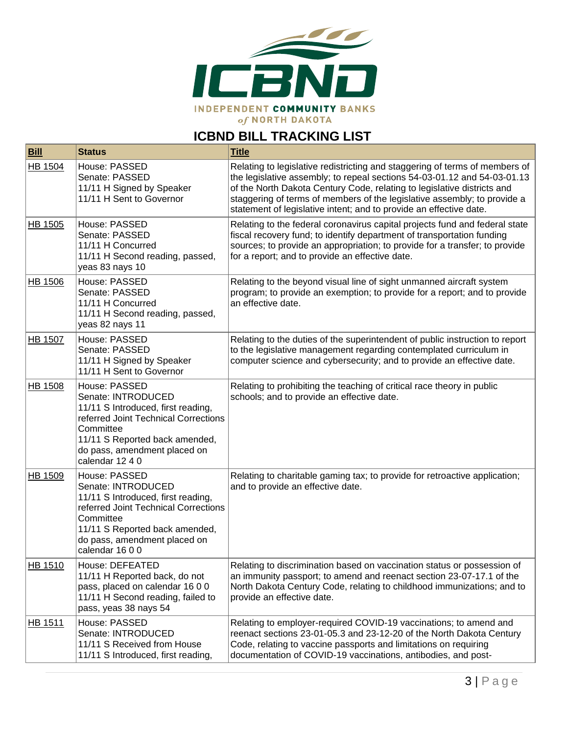

## **ICBND BILL TRACKING LIST**

| <b>Bill</b>    | <b>Status</b>                                                                                                                                                                                                       | <b>Title</b>                                                                                                                                                                                                                                                                                                                                                                         |
|----------------|---------------------------------------------------------------------------------------------------------------------------------------------------------------------------------------------------------------------|--------------------------------------------------------------------------------------------------------------------------------------------------------------------------------------------------------------------------------------------------------------------------------------------------------------------------------------------------------------------------------------|
| HB 1504        | House: PASSED<br>Senate: PASSED<br>11/11 H Signed by Speaker<br>11/11 H Sent to Governor                                                                                                                            | Relating to legislative redistricting and staggering of terms of members of<br>the legislative assembly; to repeal sections 54-03-01.12 and 54-03-01.13<br>of the North Dakota Century Code, relating to legislative districts and<br>staggering of terms of members of the legislative assembly; to provide a<br>statement of legislative intent; and to provide an effective date. |
| HB 1505        | House: PASSED<br>Senate: PASSED<br>11/11 H Concurred<br>11/11 H Second reading, passed,<br>yeas 83 nays 10                                                                                                          | Relating to the federal coronavirus capital projects fund and federal state<br>fiscal recovery fund; to identify department of transportation funding<br>sources; to provide an appropriation; to provide for a transfer; to provide<br>for a report; and to provide an effective date.                                                                                              |
| HB 1506        | House: PASSED<br>Senate: PASSED<br>11/11 H Concurred<br>11/11 H Second reading, passed,<br>yeas 82 nays 11                                                                                                          | Relating to the beyond visual line of sight unmanned aircraft system<br>program; to provide an exemption; to provide for a report; and to provide<br>an effective date.                                                                                                                                                                                                              |
| <b>HB 1507</b> | House: PASSED<br>Senate: PASSED<br>11/11 H Signed by Speaker<br>11/11 H Sent to Governor                                                                                                                            | Relating to the duties of the superintendent of public instruction to report<br>to the legislative management regarding contemplated curriculum in<br>computer science and cybersecurity; and to provide an effective date.                                                                                                                                                          |
| HB 1508        | House: PASSED<br>Senate: INTRODUCED<br>11/11 S Introduced, first reading,<br>referred Joint Technical Corrections<br>Committee<br>11/11 S Reported back amended,<br>do pass, amendment placed on<br>calendar 12 4 0 | Relating to prohibiting the teaching of critical race theory in public<br>schools; and to provide an effective date.                                                                                                                                                                                                                                                                 |
| HB 1509        | House: PASSED<br>Senate: INTRODUCED<br>11/11 S Introduced, first reading,<br>referred Joint Technical Corrections<br>Committee<br>11/11 S Reported back amended,<br>do pass, amendment placed on<br>calendar 1600   | Relating to charitable gaming tax; to provide for retroactive application;<br>and to provide an effective date.                                                                                                                                                                                                                                                                      |
| HB 1510        | House: DEFEATED<br>11/11 H Reported back, do not<br>pass, placed on calendar 16 0 0<br>11/11 H Second reading, failed to<br>pass, yeas 38 nays 54                                                                   | Relating to discrimination based on vaccination status or possession of<br>an immunity passport; to amend and reenact section 23-07-17.1 of the<br>North Dakota Century Code, relating to childhood immunizations; and to<br>provide an effective date.                                                                                                                              |
| HB 1511        | House: PASSED<br>Senate: INTRODUCED<br>11/11 S Received from House<br>11/11 S Introduced, first reading,                                                                                                            | Relating to employer-required COVID-19 vaccinations; to amend and<br>reenact sections 23-01-05.3 and 23-12-20 of the North Dakota Century<br>Code, relating to vaccine passports and limitations on requiring<br>documentation of COVID-19 vaccinations, antibodies, and post-                                                                                                       |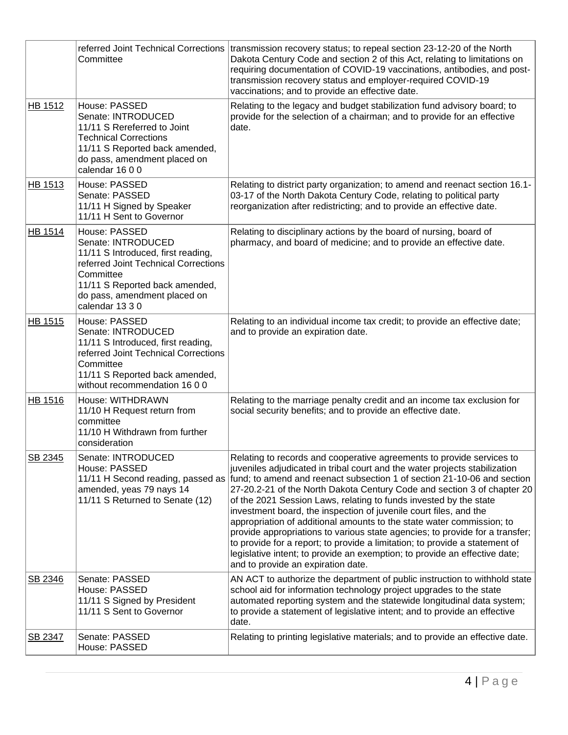|                | Committee                                                                                                                                                                                                           | referred Joint Technical Corrections   transmission recovery status; to repeal section 23-12-20 of the North<br>Dakota Century Code and section 2 of this Act, relating to limitations on<br>requiring documentation of COVID-19 vaccinations, antibodies, and post-<br>transmission recovery status and employer-required COVID-19<br>vaccinations; and to provide an effective date.                                                                                                                                                                                                                                                                                                                                                                                                                                                            |
|----------------|---------------------------------------------------------------------------------------------------------------------------------------------------------------------------------------------------------------------|---------------------------------------------------------------------------------------------------------------------------------------------------------------------------------------------------------------------------------------------------------------------------------------------------------------------------------------------------------------------------------------------------------------------------------------------------------------------------------------------------------------------------------------------------------------------------------------------------------------------------------------------------------------------------------------------------------------------------------------------------------------------------------------------------------------------------------------------------|
| <b>HB 1512</b> | House: PASSED<br>Senate: INTRODUCED<br>11/11 S Rereferred to Joint<br><b>Technical Corrections</b><br>11/11 S Reported back amended,<br>do pass, amendment placed on<br>calendar 16 0 0                             | Relating to the legacy and budget stabilization fund advisory board; to<br>provide for the selection of a chairman; and to provide for an effective<br>date.                                                                                                                                                                                                                                                                                                                                                                                                                                                                                                                                                                                                                                                                                      |
| HB 1513        | House: PASSED<br>Senate: PASSED<br>11/11 H Signed by Speaker<br>11/11 H Sent to Governor                                                                                                                            | Relating to district party organization; to amend and reenact section 16.1-<br>03-17 of the North Dakota Century Code, relating to political party<br>reorganization after redistricting; and to provide an effective date.                                                                                                                                                                                                                                                                                                                                                                                                                                                                                                                                                                                                                       |
| <b>HB 1514</b> | House: PASSED<br>Senate: INTRODUCED<br>11/11 S Introduced, first reading,<br>referred Joint Technical Corrections<br>Committee<br>11/11 S Reported back amended,<br>do pass, amendment placed on<br>calendar 13 3 0 | Relating to disciplinary actions by the board of nursing, board of<br>pharmacy, and board of medicine; and to provide an effective date.                                                                                                                                                                                                                                                                                                                                                                                                                                                                                                                                                                                                                                                                                                          |
| <b>HB 1515</b> | House: PASSED<br>Senate: INTRODUCED<br>11/11 S Introduced, first reading,<br>referred Joint Technical Corrections<br>Committee<br>11/11 S Reported back amended,<br>without recommendation 16 0 0                   | Relating to an individual income tax credit; to provide an effective date;<br>and to provide an expiration date.                                                                                                                                                                                                                                                                                                                                                                                                                                                                                                                                                                                                                                                                                                                                  |
| HB 1516        | House: WITHDRAWN<br>11/10 H Request return from<br>committee<br>11/10 H Withdrawn from further<br>consideration                                                                                                     | Relating to the marriage penalty credit and an income tax exclusion for<br>social security benefits; and to provide an effective date.                                                                                                                                                                                                                                                                                                                                                                                                                                                                                                                                                                                                                                                                                                            |
| SB 2345        | Senate: INTRODUCED<br>House: PASSED<br>amended, yeas 79 nays 14<br>11/11 S Returned to Senate (12)                                                                                                                  | Relating to records and cooperative agreements to provide services to<br>juveniles adjudicated in tribal court and the water projects stabilization<br>11/11 H Second reading, passed as fund; to amend and reenact subsection 1 of section 21-10-06 and section<br>27-20.2-21 of the North Dakota Century Code and section 3 of chapter 20<br>of the 2021 Session Laws, relating to funds invested by the state<br>investment board, the inspection of juvenile court files, and the<br>appropriation of additional amounts to the state water commission; to<br>provide appropriations to various state agencies; to provide for a transfer;<br>to provide for a report; to provide a limitation; to provide a statement of<br>legislative intent; to provide an exemption; to provide an effective date;<br>and to provide an expiration date. |
| SB 2346        | Senate: PASSED<br>House: PASSED<br>11/11 S Signed by President<br>11/11 S Sent to Governor                                                                                                                          | AN ACT to authorize the department of public instruction to withhold state<br>school aid for information technology project upgrades to the state<br>automated reporting system and the statewide longitudinal data system;<br>to provide a statement of legislative intent; and to provide an effective<br>date.                                                                                                                                                                                                                                                                                                                                                                                                                                                                                                                                 |
| SB 2347        | Senate: PASSED<br>House: PASSED                                                                                                                                                                                     | Relating to printing legislative materials; and to provide an effective date.                                                                                                                                                                                                                                                                                                                                                                                                                                                                                                                                                                                                                                                                                                                                                                     |